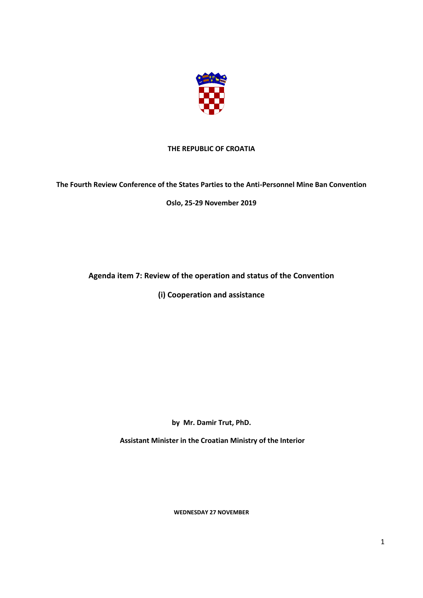

## **THE REPUBLIC OF CROATIA**

## **The Fourth Review Conference of the States Parties to the Anti-Personnel Mine Ban Convention**

**Oslo, 25-29 November 2019**

## **Agenda item 7: Review of the operation and status of the Convention**

**(i) Cooperation and assistance**

**by Mr. Damir Trut, PhD.**

**Assistant Minister in the Croatian Ministry of the Interior**

**WEDNESDAY 27 NOVEMBER**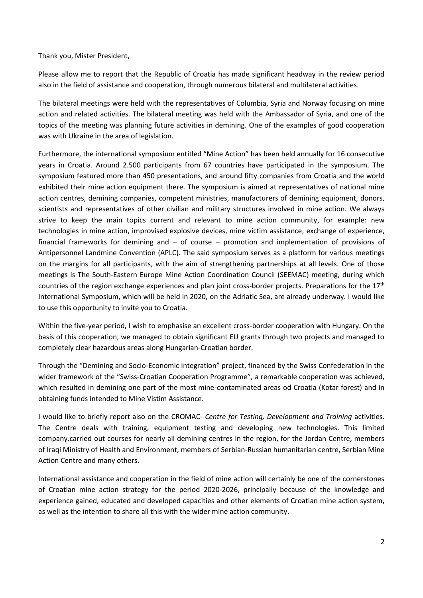Thank you, Mister President,

Please allow me to report that the Republic of Croatia has made significant headway in the review period also in the field of assistance and cooperation, through numerous bilateral and multilateral activities.

The bilateral meetings were held with the representatives of Columbia, Syria and Norway focusing on mine action and related activities. The bilateral meeting was held with the Ambassador of Syria, and one of the topics of the meeting was planning future activities in demining. One of the examples of good cooperation was with Ukraine in the area of legislation.

Furthermore, the international symposium entitled "Mine Action" has been held annually for 16 consecutive years in Croatia. Around 2.500 participants from 67 countries have participated in the symposium. The symposium featured more than 450 presentations, and around fifty companies from Croatia and the world exhibited their mine action equipment there. The symposium is aimed at representatives of national mine action centres, demining companies, competent ministries, manufacturers of demining equipment, donors, scientists and representatives of other civilian and military structures involved in mine action. We always strive to keep the main topics current and relevant to mine action community, for example: new technologies in mine action, improvised explosive devices, mine victim assistance, exchange of experience, financial frameworks for demining and – of course – promotion and implementation of provisions of Antipersonnel Landmine Convention (APLC). The said symposium serves as a platform for various meetings on the margins for all participants, with the aim of strengthening partnerships at all levels. One of those meetings is The South-Eastern Europe Mine Action Coordination Council (SEEMAC) meeting, during which countries of the region exchange experiences and plan joint cross-border projects. Preparations for the 17<sup>th</sup> International Symposium, which will be held in 2020, on the Adriatic Sea, are already underway. I would like to use this opportunity to invite you to Croatia.

Within the five-year period, I wish to emphasise an excellent cross-border cooperation with Hungary. On the basis of this cooperation, we managed to obtain significant EU grants through two projects and managed to completely clear hazardous areas along Hungarian-Croatian border.

Through the "Demining and Socio-Economic Integration" project, financed by the Swiss Confederation in the wider framework of the "Swiss-Croatian Cooperation Programme", a remarkable cooperation was achieved, which resulted in demining one part of the most mine-contaminated areas od Croatia (Kotar forest) and in obtaining funds intended to Mine Vistim Assistance.

I would like to briefly report also on the CROMAC- *Centre for Testing, Development and Training* activities. The Centre deals with training, equipment testing and developing new technologies. This limited company.carried out courses for nearly all demining centres in the region, for the Jordan Centre, members of Iraqi Ministry of Health and Environment, members of Serbian-Russian humanitarian centre, Serbian Mine Action Centre and many others.

International assistance and cooperation in the field of mine action will certainly be one of the cornerstones of Croatian mine action strategy for the period 2020-2026, principally because of the knowledge and experience gained, educated and developed capacities and other elements of Croatian mine action system, as well as the intention to share all this with the wider mine action community.